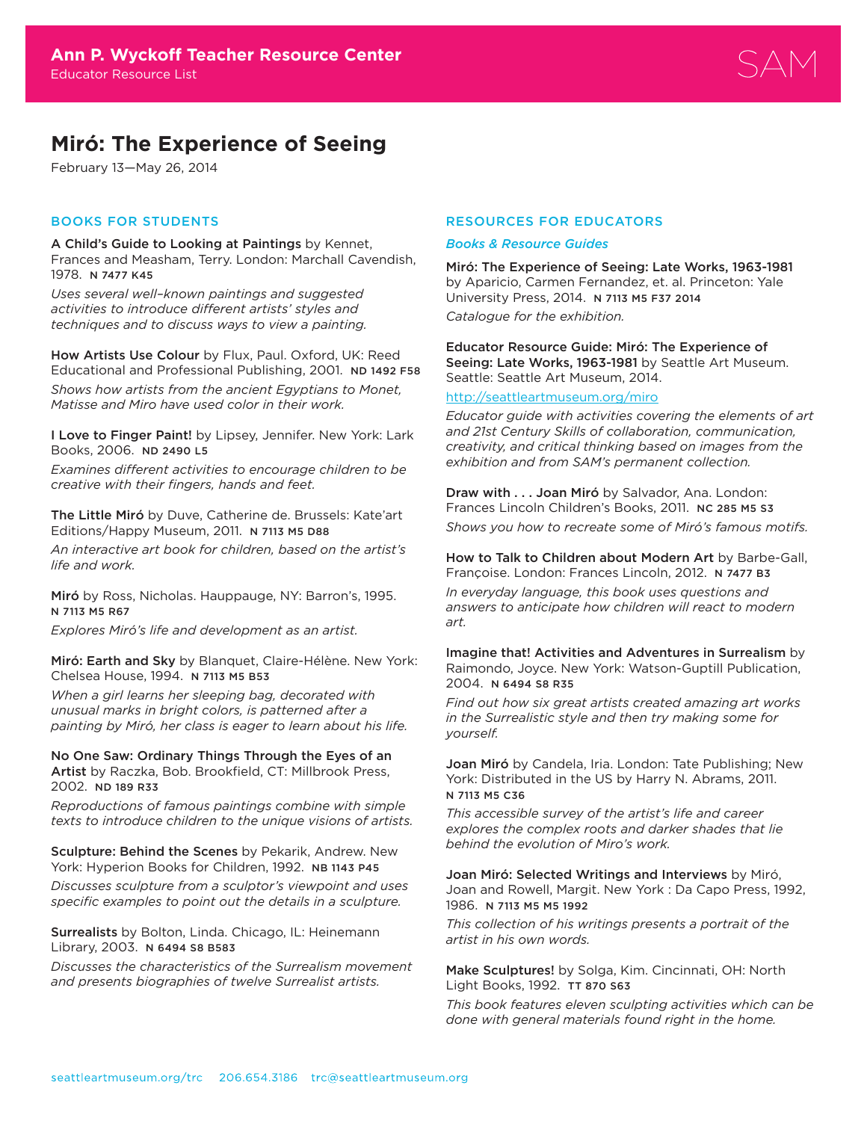

# **Miró: The Experience of Seeing**

February 13—May 26, 2014

# BOOKS FOR STUDENTS

A Child's Guide to Looking at Paintings by Kennet, Frances and Measham, Terry. London: Marchall Cavendish, 1978. N 7477 K45

*Uses several well–known paintings and suggested activities to introduce different artists' styles and techniques and to discuss ways to view a painting.*

How Artists Use Colour by Flux, Paul. Oxford, UK: Reed Educational and Professional Publishing, 2001. ND 1492 F58 *Shows how artists from the ancient Egyptians to Monet, Matisse and Miro have used color in their work.* 

I Love to Finger Paint! by Lipsey, Jennifer. New York: Lark Books, 2006. ND 2490 L5

*Examines different activities to encourage children to be creative with their fingers, hands and feet.* 

The Little Miró by Duve, Catherine de. Brussels: Kate'art Editions/Happy Museum, 2011. N 7113 M5 D88

*An interactive art book for children, based on the artist's life and work.*

Miró by Ross, Nicholas. Hauppauge, NY: Barron's, 1995. N 7113 M5 R67

*Explores Miró's life and development as an artist.* 

Miró: Earth and Sky by Blanquet, Claire-Hélène. New York: Chelsea House, 1994. N 7113 M5 B53

*When a girl learns her sleeping bag, decorated with unusual marks in bright colors, is patterned after a painting by Miró, her class is eager to learn about his life.* 

No One Saw: Ordinary Things Through the Eyes of an Artist by Raczka, Bob. Brookfield, CT: Millbrook Press, 2002. ND 189 R33

*Reproductions of famous paintings combine with simple texts to introduce children to the unique visions of artists.* 

Sculpture: Behind the Scenes by Pekarik, Andrew. New York: Hyperion Books for Children, 1992. NB 1143 P45

*Discusses sculpture from a sculptor's viewpoint and uses specific examples to point out the details in a sculpture.*

Surrealists by Bolton, Linda. Chicago, IL: Heinemann Library, 2003. N 6494 S8 B583

*Discusses the characteristics of the Surrealism movement and presents biographies of twelve Surrealist artists.* 

# RESOURCES FOR EDUCATORS

#### *Books & Resource Guides*

Miró: The Experience of Seeing: Late Works, 1963-1981 by Aparicio, Carmen Fernandez, et. al. Princeton: Yale University Press, 2014. N 7113 M5 F37 2014 *Catalogue for the exhibition.* 

Educator Resource Guide: Miró: The Experience of Seeing: Late Works, 1963-1981 by Seattle Art Museum. Seattle: Seattle Art Museum, 2014.

#### <http://seattleartmuseum.org/miro>

*Educator guide with activities covering the elements of art and 21st Century Skills of collaboration, communication, creativity, and critical thinking based on images from the exhibition and from SAM's permanent collection.*

Draw with . . . Joan Miró by Salvador, Ana. London: Frances Lincoln Children's Books, 2011. NC 285 M5 S3 *Shows you how to recreate some of Miró's famous motifs.*

How to Talk to Children about Modern Art by Barbe-Gall, Françoise. London: Frances Lincoln, 2012. N 7477 B3

*In everyday language, this book uses questions and answers to anticipate how children will react to modern art.*

Imagine that! Activities and Adventures in Surrealism by Raimondo, Joyce. New York: Watson-Guptill Publication, 2004. N 6494 S8 R35

*Find out how six great artists created amazing art works in the Surrealistic style and then try making some for yourself.*

Joan Miró by Candela, Iria. London: Tate Publishing; New York: Distributed in the US by Harry N. Abrams, 2011. N 7113 M5 C36

*This accessible survey of the artist's life and career explores the complex roots and darker shades that lie behind the evolution of Miro's work.*

Joan Miró: Selected Writings and Interviews by Miró, Joan and Rowell, Margit. New York : Da Capo Press, 1992, 1986. N 7113 M5 M5 1992

*This collection of his writings presents a portrait of the artist in his own words.* 

Make Sculptures! by Solga, Kim. Cincinnati, OH: North Light Books, 1992. TT 870 S63

*This book features eleven sculpting activities which can be done with general materials found right in the home.*